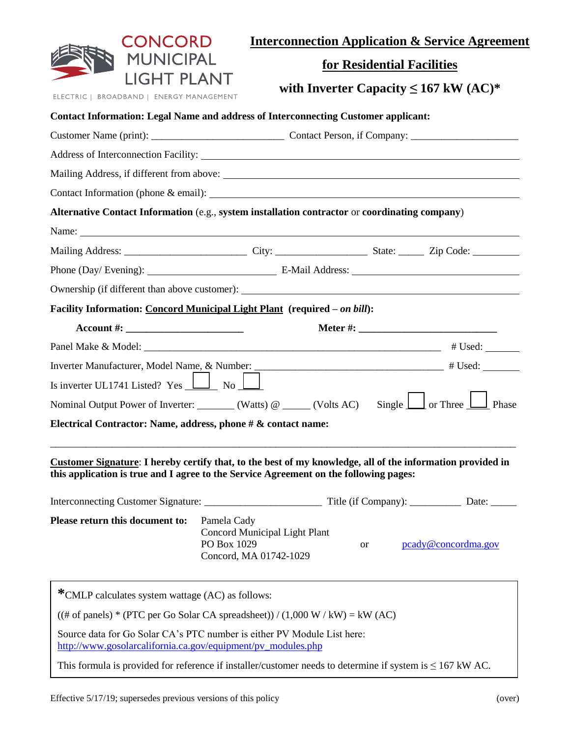| CONCORD                                                                                                                                                                                             |                                                                                       |           |                            | <b>Interconnection Application &amp; Service Agreement</b> |
|-----------------------------------------------------------------------------------------------------------------------------------------------------------------------------------------------------|---------------------------------------------------------------------------------------|-----------|----------------------------|------------------------------------------------------------|
| <b>MUNICIPAL</b>                                                                                                                                                                                    |                                                                                       |           | for Residential Facilities |                                                            |
| LIGHT PLANT<br>ELECTRIC   BROADBAND   ENERGY MANAGEMENT                                                                                                                                             |                                                                                       |           |                            | with Inverter Capacity $\leq 167$ kW (AC)*                 |
| <b>Contact Information: Legal Name and address of Interconnecting Customer applicant:</b>                                                                                                           |                                                                                       |           |                            |                                                            |
|                                                                                                                                                                                                     |                                                                                       |           |                            |                                                            |
|                                                                                                                                                                                                     |                                                                                       |           |                            |                                                            |
|                                                                                                                                                                                                     |                                                                                       |           |                            |                                                            |
|                                                                                                                                                                                                     |                                                                                       |           |                            |                                                            |
| Alternative Contact Information (e.g., system installation contractor or coordinating company)                                                                                                      |                                                                                       |           |                            |                                                            |
|                                                                                                                                                                                                     |                                                                                       |           |                            |                                                            |
|                                                                                                                                                                                                     |                                                                                       |           |                            |                                                            |
|                                                                                                                                                                                                     |                                                                                       |           |                            |                                                            |
|                                                                                                                                                                                                     |                                                                                       |           |                            |                                                            |
| Facility Information: Concord Municipal Light Plant (required - on bill):                                                                                                                           |                                                                                       |           |                            |                                                            |
| Account #: $\_$                                                                                                                                                                                     |                                                                                       |           |                            |                                                            |
|                                                                                                                                                                                                     |                                                                                       |           |                            |                                                            |
|                                                                                                                                                                                                     |                                                                                       |           |                            |                                                            |
| Is inverter UL1741 Listed? Yes $\boxed{\phantom{1}}$ No $\boxed{\phantom{1}}$                                                                                                                       |                                                                                       |           |                            |                                                            |
| Nominal Output Power of Inverter: _______ (Watts) @ _____ (Volts AC) Single $\boxed{\phantom{\cdot}}$ or Three $\boxed{\phantom{\cdot}}$ Phase                                                      |                                                                                       |           |                            |                                                            |
| Electrical Contractor: Name, address, phone # & contact name:                                                                                                                                       |                                                                                       |           |                            |                                                            |
|                                                                                                                                                                                                     |                                                                                       |           |                            |                                                            |
| Customer Signature: I hereby certify that, to the best of my knowledge, all of the information provided in<br>this application is true and I agree to the Service Agreement on the following pages: |                                                                                       |           |                            |                                                            |
|                                                                                                                                                                                                     |                                                                                       |           |                            |                                                            |
| Please return this document to:                                                                                                                                                                     | Pamela Cady<br>Concord Municipal Light Plant<br>PO Box 1029<br>Concord, MA 01742-1029 | <b>or</b> |                            | pcady@concordma.gov                                        |
| *CMLP calculates system wattage (AC) as follows:                                                                                                                                                    |                                                                                       |           |                            |                                                            |
| $((# of panels) * (PTC per Go Solar CA spreadsheet)) / (1,000 W / kW) = kW (AC)$                                                                                                                    |                                                                                       |           |                            |                                                            |
| Source data for Go Solar CA's PTC number is either PV Module List here:<br>http://www.gosolarcalifornia.ca.gov/equipment/pv_modules.php                                                             |                                                                                       |           |                            |                                                            |
| This formula is provided for reference if installer/customer needs to determine if system is $\leq 167$ kW AC.                                                                                      |                                                                                       |           |                            |                                                            |
|                                                                                                                                                                                                     |                                                                                       |           |                            |                                                            |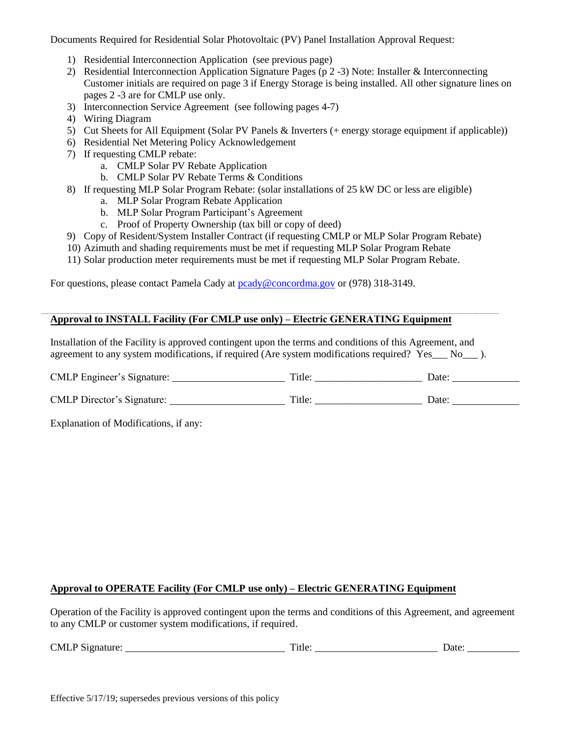Documents Required for Residential Solar Photovoltaic (PV) Panel Installation Approval Request:

- 1) Residential Interconnection Application (see previous page)
- 2) Residential Interconnection Application Signature Pages (p 2 -3) Note: Installer & Interconnecting Customer initials are required on page 3 if Energy Storage is being installed. All other signature lines on pages 2 -3 are for CMLP use only.
- 3) Interconnection Service Agreement (see following pages 4-7)
- 4) Wiring Diagram
- 5) Cut Sheets for All Equipment (Solar PV Panels & Inverters (+ energy storage equipment if applicable))
- 6) Residential Net Metering Policy Acknowledgement
- 7) If requesting CMLP rebate:
	- a. CMLP Solar PV Rebate Application
	- b. CMLP Solar PV Rebate Terms & Conditions
- 8) If requesting MLP Solar Program Rebate: (solar installations of 25 kW DC or less are eligible)
	- a. MLP Solar Program Rebate Application
	- b. MLP Solar Program Participant's Agreement
	- c. Proof of Property Ownership (tax bill or copy of deed)
- 9) Copy of Resident/System Installer Contract (if requesting CMLP or MLP Solar Program Rebate)
- 10) Azimuth and shading requirements must be met if requesting MLP Solar Program Rebate
- 11) Solar production meter requirements must be met if requesting MLP Solar Program Rebate.

For questions, please contact Pamela Cady at [pcady@concordma.gov](mailto:pcady@concordma.gov) or (978) 318-3149.

#### **Approval to INSTALL Facility (For CMLP use only) – Electric GENERATING Equipment**

Installation of the Facility is approved contingent upon the terms and conditions of this Agreement, and agreement to any system modifications, if required (Are system modifications required? Yes No.).

| CMLP Engineer's Signature:        | Title: | Date <sup>.</sup> |  |
|-----------------------------------|--------|-------------------|--|
|                                   |        |                   |  |
| <b>CMLP</b> Director's Signature: | Title: | Date <sup>.</sup> |  |

Explanation of Modifications, if any:

#### **Approval to OPERATE Facility (For CMLP use only) – Electric GENERATING Equipment**

Operation of the Facility is approved contingent upon the terms and conditions of this Agreement, and agreement to any CMLP or customer system modifications, if required.

| <b>CMLP</b><br>Signature: | m.<br><sup>1</sup> tle | Jate |
|---------------------------|------------------------|------|
|---------------------------|------------------------|------|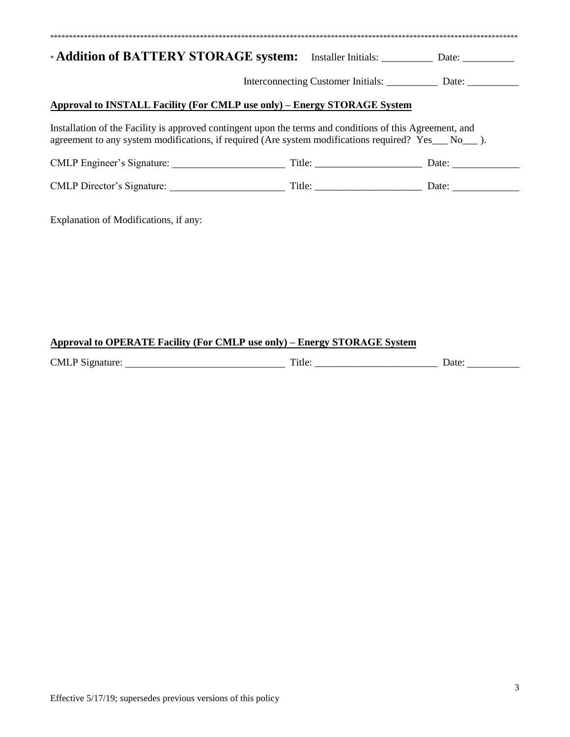| *Addition of BATTERY STORAGE system: Installer Initials: _________ Date: _________                                                                                                                           |                                                |  |  |
|--------------------------------------------------------------------------------------------------------------------------------------------------------------------------------------------------------------|------------------------------------------------|--|--|
|                                                                                                                                                                                                              | Interconnecting Customer Initials: Date: Date: |  |  |
| Approval to INSTALL Facility (For CMLP use only) - Energy STORAGE System                                                                                                                                     |                                                |  |  |
| Installation of the Facility is approved contingent upon the terms and conditions of this Agreement, and<br>agreement to any system modifications, if required (Are system modifications required? Yes No ). |                                                |  |  |
|                                                                                                                                                                                                              |                                                |  |  |
|                                                                                                                                                                                                              |                                                |  |  |
| Explanation of Modifications, if any:                                                                                                                                                                        |                                                |  |  |

## **Approval to OPERATE Facility (For CMLP use only) – Energy STORAGE System**

| <b>CMLP</b><br>Signature: | m.<br>`itle' | Jate |
|---------------------------|--------------|------|
|                           |              |      |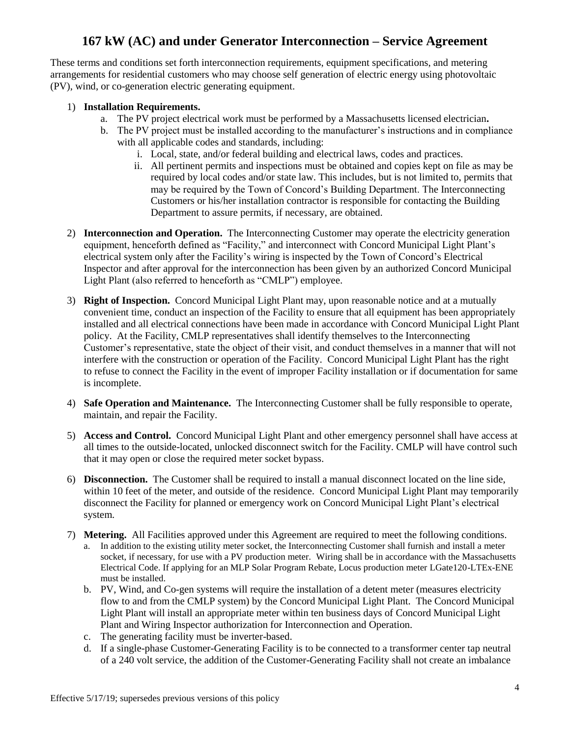# **167 kW (AC) and under Generator Interconnection – Service Agreement**

These terms and conditions set forth interconnection requirements, equipment specifications, and metering arrangements for residential customers who may choose self generation of electric energy using photovoltaic (PV), wind, or co-generation electric generating equipment.

#### 1) **Installation Requirements.**

- a. The PV project electrical work must be performed by a Massachusetts licensed electrician**.**
- b. The PV project must be installed according to the manufacturer's instructions and in compliance with all applicable codes and standards, including:
	- i. Local, state, and/or federal building and electrical laws, codes and practices.
	- ii. All pertinent permits and inspections must be obtained and copies kept on file as may be required by local codes and/or state law. This includes, but is not limited to, permits that may be required by the Town of Concord's Building Department. The Interconnecting Customers or his/her installation contractor is responsible for contacting the Building Department to assure permits, if necessary, are obtained.
- 2) **Interconnection and Operation.** The Interconnecting Customer may operate the electricity generation equipment, henceforth defined as "Facility," and interconnect with Concord Municipal Light Plant's electrical system only after the Facility's wiring is inspected by the Town of Concord's Electrical Inspector and after approval for the interconnection has been given by an authorized Concord Municipal Light Plant (also referred to henceforth as "CMLP") employee.
- 3) **Right of Inspection.** Concord Municipal Light Plant may, upon reasonable notice and at a mutually convenient time, conduct an inspection of the Facility to ensure that all equipment has been appropriately installed and all electrical connections have been made in accordance with Concord Municipal Light Plant policy. At the Facility, CMLP representatives shall identify themselves to the Interconnecting Customer's representative, state the object of their visit, and conduct themselves in a manner that will not interfere with the construction or operation of the Facility. Concord Municipal Light Plant has the right to refuse to connect the Facility in the event of improper Facility installation or if documentation for same is incomplete.
- 4) **Safe Operation and Maintenance.** The Interconnecting Customer shall be fully responsible to operate, maintain, and repair the Facility.
- 5) **Access and Control.** Concord Municipal Light Plant and other emergency personnel shall have access at all times to the outside-located, unlocked disconnect switch for the Facility. CMLP will have control such that it may open or close the required meter socket bypass.
- 6) **Disconnection.** The Customer shall be required to install a manual disconnect located on the line side, within 10 feet of the meter, and outside of the residence. Concord Municipal Light Plant may temporarily disconnect the Facility for planned or emergency work on Concord Municipal Light Plant's electrical system.
- 7) **Metering.** All Facilities approved under this Agreement are required to meet the following conditions.
	- a. In addition to the existing utility meter socket, the Interconnecting Customer shall furnish and install a meter socket, if necessary, for use with a PV production meter. Wiring shall be in accordance with the Massachusetts Electrical Code. If applying for an MLP Solar Program Rebate, Locus production meter LGate120-LTEx-ENE must be installed.
	- b. PV, Wind, and Co-gen systems will require the installation of a detent meter (measures electricity flow to and from the CMLP system) by the Concord Municipal Light Plant. The Concord Municipal Light Plant will install an appropriate meter within ten business days of Concord Municipal Light Plant and Wiring Inspector authorization for Interconnection and Operation.
	- c. The generating facility must be inverter-based.
	- d. If a single-phase Customer-Generating Facility is to be connected to a transformer center tap neutral of a 240 volt service, the addition of the Customer-Generating Facility shall not create an imbalance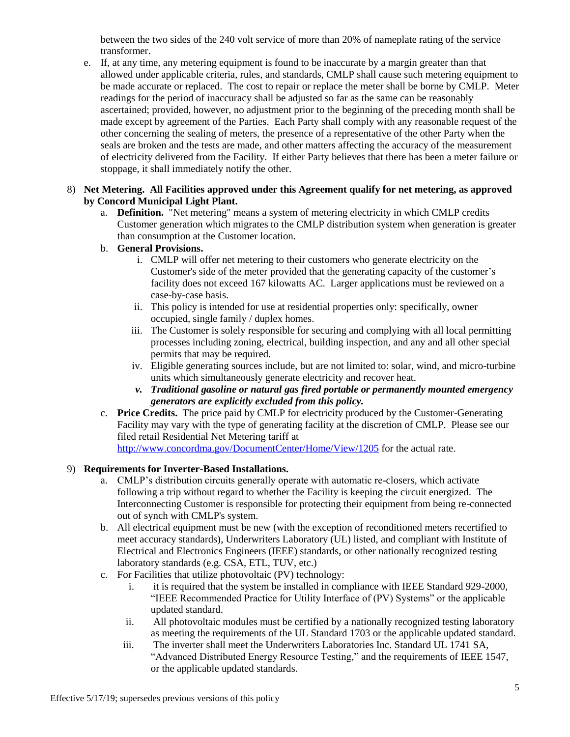between the two sides of the 240 volt service of more than 20% of nameplate rating of the service transformer.

e. If, at any time, any metering equipment is found to be inaccurate by a margin greater than that allowed under applicable criteria, rules, and standards, CMLP shall cause such metering equipment to be made accurate or replaced. The cost to repair or replace the meter shall be borne by CMLP. Meter readings for the period of inaccuracy shall be adjusted so far as the same can be reasonably ascertained; provided, however, no adjustment prior to the beginning of the preceding month shall be made except by agreement of the Parties. Each Party shall comply with any reasonable request of the other concerning the sealing of meters, the presence of a representative of the other Party when the seals are broken and the tests are made, and other matters affecting the accuracy of the measurement of electricity delivered from the Facility. If either Party believes that there has been a meter failure or stoppage, it shall immediately notify the other.

#### 8) **Net Metering. All Facilities approved under this Agreement qualify for net metering, as approved by Concord Municipal Light Plant.**

a. **Definition.** "Net metering" means a system of metering electricity in which CMLP credits Customer generation which migrates to the CMLP distribution system when generation is greater than consumption at the Customer location.

## b. **General Provisions.**

- i. CMLP will offer net metering to their customers who generate electricity on the Customer's side of the meter provided that the generating capacity of the customer's facility does not exceed 167 kilowatts AC. Larger applications must be reviewed on a case-by-case basis.
- ii. This policy is intended for use at residential properties only: specifically, owner occupied, single family / duplex homes.
- iii. The Customer is solely responsible for securing and complying with all local permitting processes including zoning, electrical, building inspection, and any and all other special permits that may be required.
- iv. Eligible generating sources include, but are not limited to: solar, wind, and micro-turbine units which simultaneously generate electricity and recover heat.
- *v. Traditional gasoline or natural gas fired portable or permanently mounted emergency generators are explicitly excluded from this policy.*
- c. **Price Credits.** The price paid by CMLP for electricity produced by the Customer-Generating Facility may vary with the type of generating facility at the discretion of CMLP. Please see our filed retail Residential Net Metering tariff at <http://www.concordma.gov/DocumentCenter/Home/View/1205> for the actual rate.

### 9) **Requirements for Inverter-Based Installations.**

- a. CMLP's distribution circuits generally operate with automatic re-closers, which activate following a trip without regard to whether the Facility is keeping the circuit energized. The Interconnecting Customer is responsible for protecting their equipment from being re-connected out of synch with CMLP's system.
- b. All electrical equipment must be new (with the exception of reconditioned meters recertified to meet accuracy standards), Underwriters Laboratory (UL) listed, and compliant with Institute of Electrical and Electronics Engineers (IEEE) standards, or other nationally recognized testing laboratory standards (e.g. CSA, ETL, TUV, etc.)
- c. For Facilities that utilize photovoltaic (PV) technology:
	- i. it is required that the system be installed in compliance with IEEE Standard 929-2000, "IEEE Recommended Practice for Utility Interface of (PV) Systems" or the applicable updated standard.
	- ii. All photovoltaic modules must be certified by a nationally recognized testing laboratory as meeting the requirements of the UL Standard 1703 or the applicable updated standard.
	- iii. The inverter shall meet the Underwriters Laboratories Inc. Standard UL 1741 SA, "Advanced Distributed Energy Resource Testing," and the requirements of IEEE 1547, or the applicable updated standards.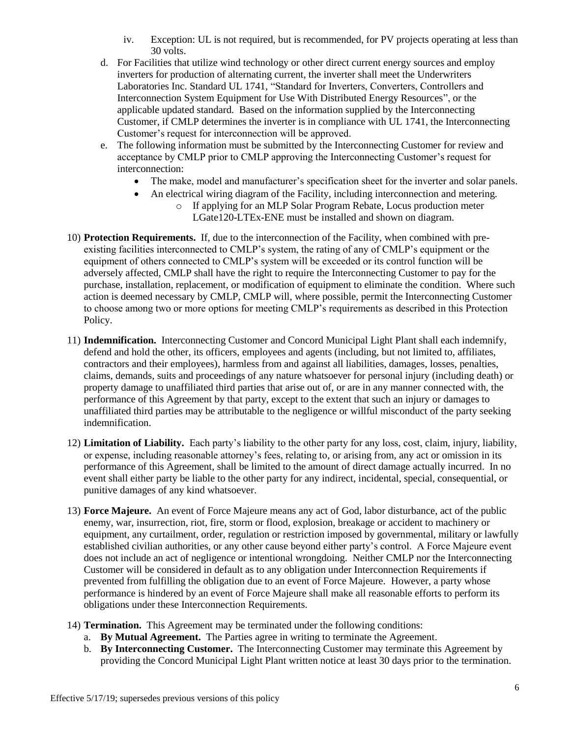- iv. Exception: UL is not required, but is recommended, for PV projects operating at less than 30 volts.
- d. For Facilities that utilize wind technology or other direct current energy sources and employ inverters for production of alternating current, the inverter shall meet the Underwriters Laboratories Inc. Standard UL 1741, "Standard for Inverters, Converters, Controllers and Interconnection System Equipment for Use With Distributed Energy Resources", or the applicable updated standard. Based on the information supplied by the Interconnecting Customer, if CMLP determines the inverter is in compliance with UL 1741, the Interconnecting Customer's request for interconnection will be approved.
- e. The following information must be submitted by the Interconnecting Customer for review and acceptance by CMLP prior to CMLP approving the Interconnecting Customer's request for interconnection:
	- The make, model and manufacturer's specification sheet for the inverter and solar panels.
	- An electrical wiring diagram of the Facility, including interconnection and metering.
		- o If applying for an MLP Solar Program Rebate, Locus production meter LGate120-LTEx-ENE must be installed and shown on diagram.
- 10) **Protection Requirements.** If, due to the interconnection of the Facility, when combined with preexisting facilities interconnected to CMLP's system, the rating of any of CMLP's equipment or the equipment of others connected to CMLP's system will be exceeded or its control function will be adversely affected, CMLP shall have the right to require the Interconnecting Customer to pay for the purchase, installation, replacement, or modification of equipment to eliminate the condition. Where such action is deemed necessary by CMLP, CMLP will, where possible, permit the Interconnecting Customer to choose among two or more options for meeting CMLP's requirements as described in this Protection Policy.
- 11) **Indemnification.** Interconnecting Customer and Concord Municipal Light Plant shall each indemnify, defend and hold the other, its officers, employees and agents (including, but not limited to, affiliates, contractors and their employees), harmless from and against all liabilities, damages, losses, penalties, claims, demands, suits and proceedings of any nature whatsoever for personal injury (including death) or property damage to unaffiliated third parties that arise out of, or are in any manner connected with, the performance of this Agreement by that party, except to the extent that such an injury or damages to unaffiliated third parties may be attributable to the negligence or willful misconduct of the party seeking indemnification.
- 12) **Limitation of Liability.** Each party's liability to the other party for any loss, cost, claim, injury, liability, or expense, including reasonable attorney's fees, relating to, or arising from, any act or omission in its performance of this Agreement, shall be limited to the amount of direct damage actually incurred. In no event shall either party be liable to the other party for any indirect, incidental, special, consequential, or punitive damages of any kind whatsoever.
- 13) **Force Majeure.** An event of Force Majeure means any act of God, labor disturbance, act of the public enemy, war, insurrection, riot, fire, storm or flood, explosion, breakage or accident to machinery or equipment, any curtailment, order, regulation or restriction imposed by governmental, military or lawfully established civilian authorities, or any other cause beyond either party's control. A Force Majeure event does not include an act of negligence or intentional wrongdoing. Neither CMLP nor the Interconnecting Customer will be considered in default as to any obligation under Interconnection Requirements if prevented from fulfilling the obligation due to an event of Force Majeure. However, a party whose performance is hindered by an event of Force Majeure shall make all reasonable efforts to perform its obligations under these Interconnection Requirements.
- 14) **Termination.** This Agreement may be terminated under the following conditions:
	- a. **By Mutual Agreement.** The Parties agree in writing to terminate the Agreement.
	- b. **By Interconnecting Customer.** The Interconnecting Customer may terminate this Agreement by providing the Concord Municipal Light Plant written notice at least 30 days prior to the termination.